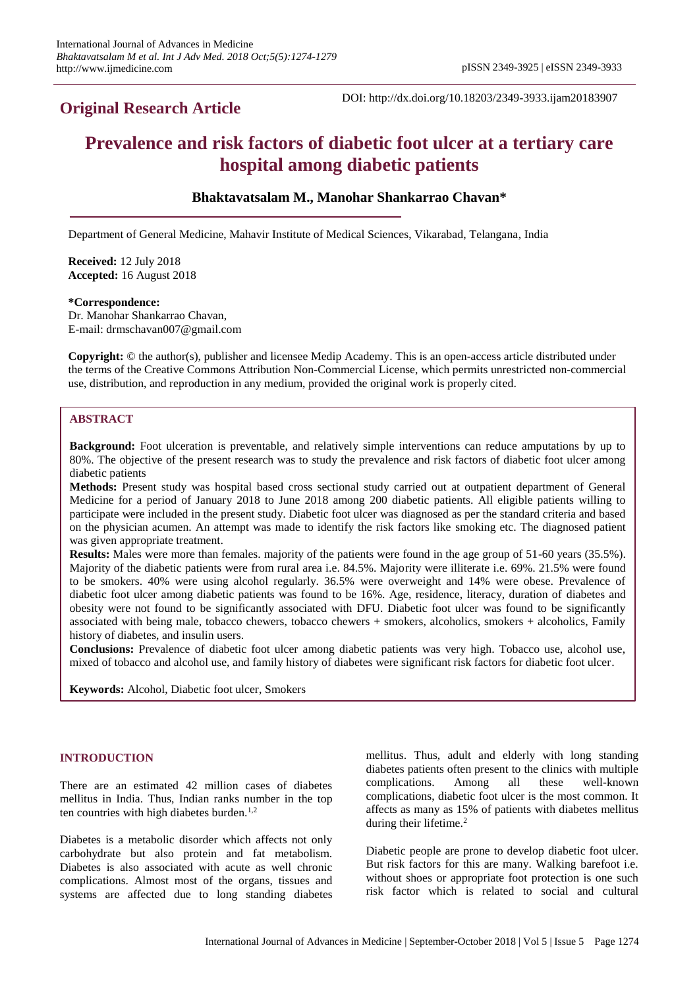## **Original Research Article**

DOI: http://dx.doi.org/10.18203/2349-3933.ijam20183907

# **Prevalence and risk factors of diabetic foot ulcer at a tertiary care hospital among diabetic patients**

## **Bhaktavatsalam M., Manohar Shankarrao Chavan\***

Department of General Medicine, Mahavir Institute of Medical Sciences, Vikarabad, Telangana, India

**Received:** 12 July 2018 **Accepted:** 16 August 2018

#### **\*Correspondence:**

Dr. Manohar Shankarrao Chavan, E-mail: drmschavan007@gmail.com

**Copyright:** © the author(s), publisher and licensee Medip Academy. This is an open-access article distributed under the terms of the Creative Commons Attribution Non-Commercial License, which permits unrestricted non-commercial use, distribution, and reproduction in any medium, provided the original work is properly cited.

## **ABSTRACT**

**Background:** Foot ulceration is preventable, and relatively simple interventions can reduce amputations by up to 80%. The objective of the present research was to study the prevalence and risk factors of diabetic foot ulcer among diabetic patients

**Methods:** Present study was hospital based cross sectional study carried out at outpatient department of General Medicine for a period of January 2018 to June 2018 among 200 diabetic patients. All eligible patients willing to participate were included in the present study. Diabetic foot ulcer was diagnosed as per the standard criteria and based on the physician acumen. An attempt was made to identify the risk factors like smoking etc. The diagnosed patient was given appropriate treatment.

**Results:** Males were more than females. majority of the patients were found in the age group of 51-60 years (35.5%). Majority of the diabetic patients were from rural area i.e. 84.5%. Majority were illiterate i.e. 69%. 21.5% were found to be smokers. 40% were using alcohol regularly. 36.5% were overweight and 14% were obese. Prevalence of diabetic foot ulcer among diabetic patients was found to be 16%. Age, residence, literacy, duration of diabetes and obesity were not found to be significantly associated with DFU. Diabetic foot ulcer was found to be significantly associated with being male, tobacco chewers, tobacco chewers + smokers, alcoholics, smokers + alcoholics, Family history of diabetes, and insulin users.

**Conclusions:** Prevalence of diabetic foot ulcer among diabetic patients was very high. Tobacco use, alcohol use, mixed of tobacco and alcohol use, and family history of diabetes were significant risk factors for diabetic foot ulcer.

**Keywords:** Alcohol, Diabetic foot ulcer, Smokers

## **INTRODUCTION**

There are an estimated 42 million cases of diabetes mellitus in India. Thus, Indian ranks number in the top ten countries with high diabetes burden. $1,2$ 

Diabetes is a metabolic disorder which affects not only carbohydrate but also protein and fat metabolism. Diabetes is also associated with acute as well chronic complications. Almost most of the organs, tissues and systems are affected due to long standing diabetes mellitus. Thus, adult and elderly with long standing diabetes patients often present to the clinics with multiple complications. Among all these well-known complications, diabetic foot ulcer is the most common. It affects as many as 15% of patients with diabetes mellitus during their lifetime.<sup>2</sup>

Diabetic people are prone to develop diabetic foot ulcer. But risk factors for this are many. Walking barefoot i.e. without shoes or appropriate foot protection is one such risk factor which is related to social and cultural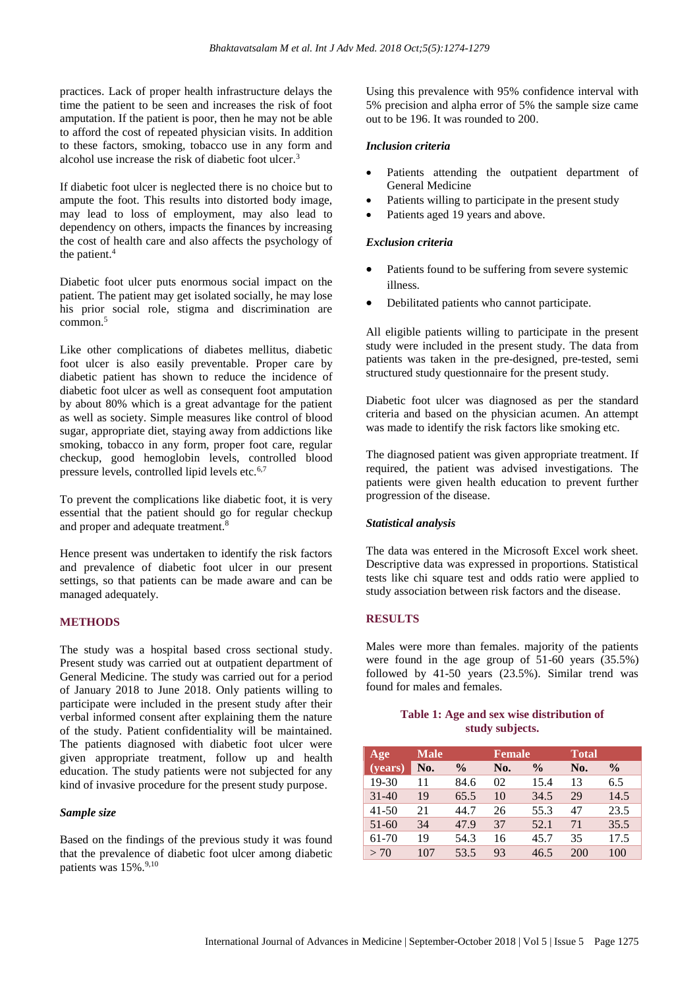practices. Lack of proper health infrastructure delays the time the patient to be seen and increases the risk of foot amputation. If the patient is poor, then he may not be able to afford the cost of repeated physician visits. In addition to these factors, smoking, tobacco use in any form and alcohol use increase the risk of diabetic foot ulcer.<sup>3</sup>

If diabetic foot ulcer is neglected there is no choice but to ampute the foot. This results into distorted body image, may lead to loss of employment, may also lead to dependency on others, impacts the finances by increasing the cost of health care and also affects the psychology of the patient.<sup>4</sup>

Diabetic foot ulcer puts enormous social impact on the patient. The patient may get isolated socially, he may lose his prior social role, stigma and discrimination are common.<sup>5</sup>

Like other complications of diabetes mellitus, diabetic foot ulcer is also easily preventable. Proper care by diabetic patient has shown to reduce the incidence of diabetic foot ulcer as well as consequent foot amputation by about 80% which is a great advantage for the patient as well as society. Simple measures like control of blood sugar, appropriate diet, staying away from addictions like smoking, tobacco in any form, proper foot care, regular checkup, good hemoglobin levels, controlled blood pressure levels, controlled lipid levels etc.6,7

To prevent the complications like diabetic foot, it is very essential that the patient should go for regular checkup and proper and adequate treatment.<sup>8</sup>

Hence present was undertaken to identify the risk factors and prevalence of diabetic foot ulcer in our present settings, so that patients can be made aware and can be managed adequately.

## **METHODS**

The study was a hospital based cross sectional study. Present study was carried out at outpatient department of General Medicine. The study was carried out for a period of January 2018 to June 2018. Only patients willing to participate were included in the present study after their verbal informed consent after explaining them the nature of the study. Patient confidentiality will be maintained. The patients diagnosed with diabetic foot ulcer were given appropriate treatment, follow up and health education. The study patients were not subjected for any kind of invasive procedure for the present study purpose.

#### *Sample size*

Based on the findings of the previous study it was found that the prevalence of diabetic foot ulcer among diabetic patients was 15%.<sup>9,10</sup>

Using this prevalence with 95% confidence interval with 5% precision and alpha error of 5% the sample size came out to be 196. It was rounded to 200.

#### *Inclusion criteria*

- Patients attending the outpatient department of General Medicine
- Patients willing to participate in the present study
- Patients aged 19 years and above.

#### *Exclusion criteria*

- Patients found to be suffering from severe systemic illness.
- Debilitated patients who cannot participate.

All eligible patients willing to participate in the present study were included in the present study. The data from patients was taken in the pre-designed, pre-tested, semi structured study questionnaire for the present study.

Diabetic foot ulcer was diagnosed as per the standard criteria and based on the physician acumen. An attempt was made to identify the risk factors like smoking etc.

The diagnosed patient was given appropriate treatment. If required, the patient was advised investigations. The patients were given health education to prevent further progression of the disease.

#### *Statistical analysis*

The data was entered in the Microsoft Excel work sheet. Descriptive data was expressed in proportions. Statistical tests like chi square test and odds ratio were applied to study association between risk factors and the disease.

#### **RESULTS**

Males were more than females. majority of the patients were found in the age group of 51-60 years (35.5%) followed by 41-50 years (23.5%). Similar trend was found for males and females.

#### **Table 1: Age and sex wise distribution of study subjects.**

| Age       | <b>Male</b> | <b>Female</b> |     | <b>Total</b>  |     |               |
|-----------|-------------|---------------|-----|---------------|-----|---------------|
| (years)   | No.         | $\frac{0}{0}$ | No. | $\frac{0}{0}$ | No. | $\frac{6}{9}$ |
| 19-30     | 11          | 84.6          | 02  | 15.4          | 13  | 6.5           |
| $31 - 40$ | 19          | 65.5          | 10  | 34.5          | 29  | 14.5          |
| $41 - 50$ | 21          | 44.7          | 26  | 55.3          | 47  | 23.5          |
| $51 - 60$ | 34          | 47.9          | 37  | 52.1          | 71  | 35.5          |
| 61-70     | 19          | 54.3          | 16  | 45.7          | 35  | 17.5          |
| > 70      | 107         | 53.5          | 93  | 46.5          | 200 | 100           |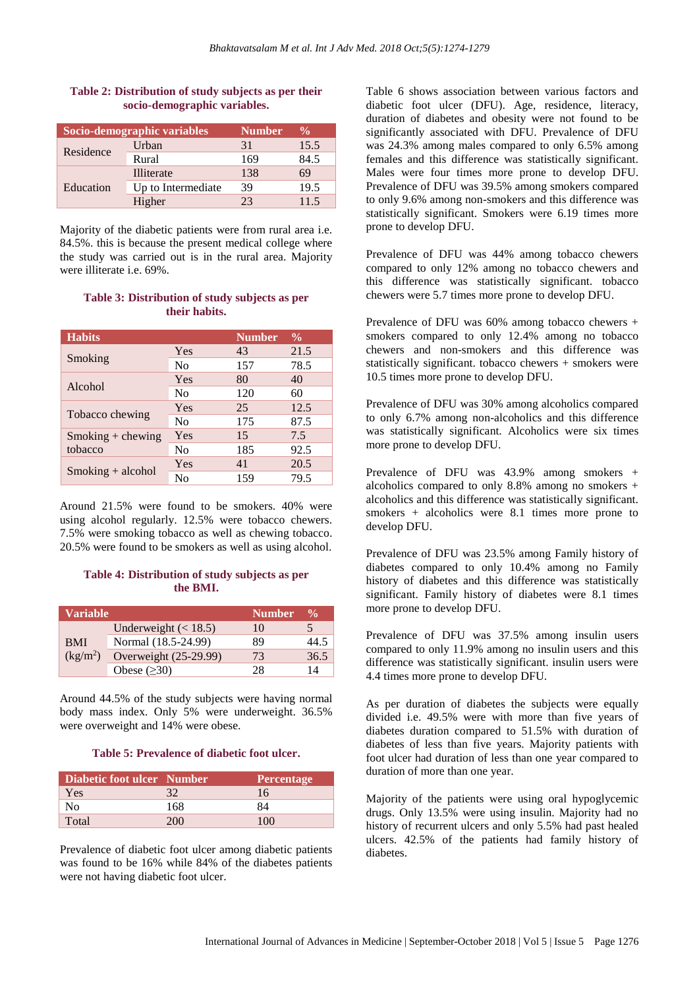## **Table 2: Distribution of study subjects as per their socio-demographic variables.**

|           | Socio-demographic variables | <b>Number</b> | $\frac{0}{0}$ |
|-----------|-----------------------------|---------------|---------------|
| Residence | Urban                       | 31            | 15.5          |
|           | Rural                       | 169           | 84.5          |
|           | Illiterate                  | 138           | 69            |
| Education | Up to Intermediate          | 39            | 19.5          |
|           | Higher                      | フ3            | 11.5          |

Majority of the diabetic patients were from rural area i.e. 84.5%. this is because the present medical college where the study was carried out is in the rural area. Majority were illiterate i.e. 69%.

#### **Table 3: Distribution of study subjects as per their habits.**

| <b>Habits</b>       |                | <b>Number</b> | $\frac{6}{9}$ |
|---------------------|----------------|---------------|---------------|
|                     | Yes            | 43            | 21.5          |
| Smoking             | No             | 157           | 78.5          |
|                     | Yes            | 80            | 40            |
| Alcohol             | N <sub>0</sub> | 120           | 60            |
|                     | Yes            | 25            | 12.5          |
| Tobacco chewing     | No             | 175           | 87.5          |
| $Smoking + chewing$ | Yes            | 15            | 7.5           |
| tobacco             | No             | 185           | 92.5          |
|                     | Yes            | 41            | 20.5          |
| $Smoking + alcohol$ | No             | 159           | 79.5          |

Around 21.5% were found to be smokers. 40% were using alcohol regularly. 12.5% were tobacco chewers. 7.5% were smoking tobacco as well as chewing tobacco. 20.5% were found to be smokers as well as using alcohol.

## **Table 4: Distribution of study subjects as per the BMI.**

| <b>Variable</b>                    |                        | <b>Number</b> | $\frac{6}{10}$ |
|------------------------------------|------------------------|---------------|----------------|
|                                    | Underweight $(< 18.5)$ | 10            |                |
| <b>BMI</b><br>(kg/m <sup>2</sup> ) | Normal (18.5-24.99)    | 89            | 44.5           |
|                                    | Overweight (25-29.99)  | 73            | 36.5           |
|                                    | Obese $(\geq 30)$      | 78            | 14             |

Around 44.5% of the study subjects were having normal body mass index. Only 5% were underweight. 36.5% were overweight and 14% were obese.

## **Table 5: Prevalence of diabetic foot ulcer.**

| Diabetic foot ulcer Number |     | <b>Percentage</b> |
|----------------------------|-----|-------------------|
| Yes                        | 32  | 16                |
| No                         | 168 | 84                |
| Total                      | 200 | 100               |

Prevalence of diabetic foot ulcer among diabetic patients was found to be 16% while 84% of the diabetes patients were not having diabetic foot ulcer.

Table 6 shows association between various factors and diabetic foot ulcer (DFU). Age, residence, literacy, duration of diabetes and obesity were not found to be significantly associated with DFU. Prevalence of DFU was 24.3% among males compared to only 6.5% among females and this difference was statistically significant. Males were four times more prone to develop DFU. Prevalence of DFU was 39.5% among smokers compared to only 9.6% among non-smokers and this difference was statistically significant. Smokers were 6.19 times more prone to develop DFU.

Prevalence of DFU was 44% among tobacco chewers compared to only 12% among no tobacco chewers and this difference was statistically significant. tobacco chewers were 5.7 times more prone to develop DFU.

Prevalence of DFU was 60% among tobacco chewers + smokers compared to only 12.4% among no tobacco chewers and non-smokers and this difference was statistically significant. tobacco chewers + smokers were 10.5 times more prone to develop DFU.

Prevalence of DFU was 30% among alcoholics compared to only 6.7% among non-alcoholics and this difference was statistically significant. Alcoholics were six times more prone to develop DFU.

Prevalence of DFU was 43.9% among smokers + alcoholics compared to only 8.8% among no smokers + alcoholics and this difference was statistically significant. smokers + alcoholics were 8.1 times more prone to develop DFU.

Prevalence of DFU was 23.5% among Family history of diabetes compared to only 10.4% among no Family history of diabetes and this difference was statistically significant. Family history of diabetes were 8.1 times more prone to develop DFU.

Prevalence of DFU was 37.5% among insulin users compared to only 11.9% among no insulin users and this difference was statistically significant. insulin users were 4.4 times more prone to develop DFU.

As per duration of diabetes the subjects were equally divided i.e. 49.5% were with more than five years of diabetes duration compared to 51.5% with duration of diabetes of less than five years. Majority patients with foot ulcer had duration of less than one year compared to duration of more than one year.

Majority of the patients were using oral hypoglycemic drugs. Only 13.5% were using insulin. Majority had no history of recurrent ulcers and only 5.5% had past healed ulcers. 42.5% of the patients had family history of diabetes.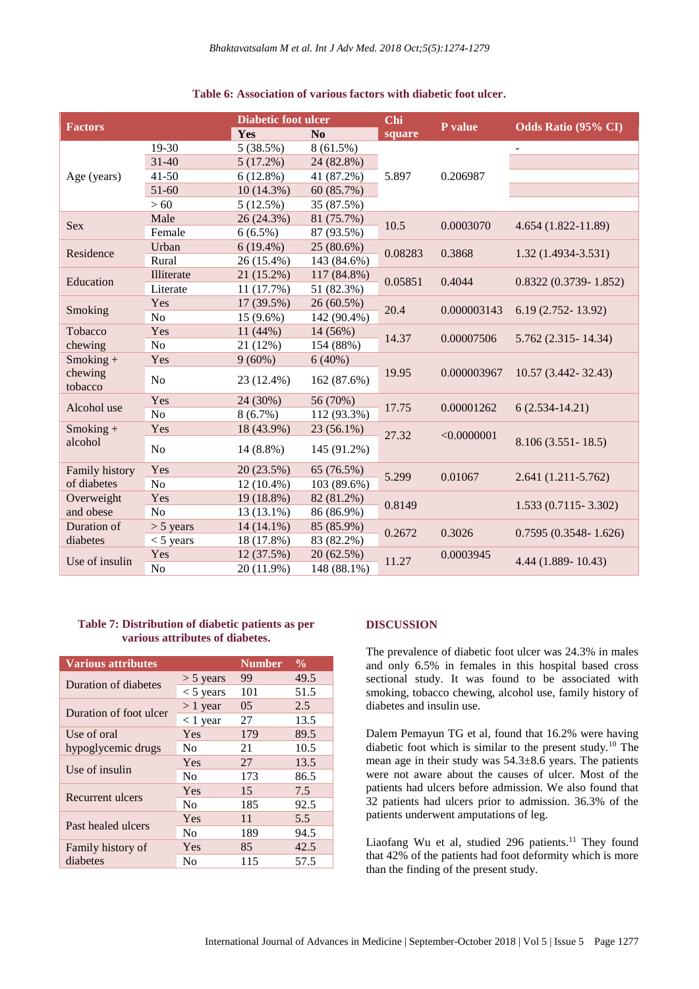| Table 6: Association of various factors with diabetic foot ulcer. |  |  |  |  |
|-------------------------------------------------------------------|--|--|--|--|
|-------------------------------------------------------------------|--|--|--|--|

|                    |                | <b>Diabetic foot ulcer</b> |             | Chi     |             |                            |
|--------------------|----------------|----------------------------|-------------|---------|-------------|----------------------------|
| <b>Factors</b>     |                | Yes                        | No          | square  | P value     | <b>Odds Ratio (95% CI)</b> |
|                    | 19-30          | 5(38.5%)                   | $8(61.5\%)$ |         |             | $\blacksquare$             |
|                    | $31 - 40$      | 5(17.2%)                   | 24 (82.8%)  |         | 0.206987    |                            |
| Age (years)        | $41 - 50$      | 6(12.8%)                   | 41 (87.2%)  | 5.897   |             |                            |
|                    | 51-60          | $10(14.3\%)$               | 60 (85.7%)  |         |             |                            |
|                    | >60            | 5(12.5%)                   | 35 (87.5%)  |         |             |                            |
| <b>Sex</b>         | Male           | 26 (24.3%)                 | 81 (75.7%)  | 10.5    |             |                            |
|                    | Female         | $6(6.5\%)$                 | 87 (93.5%)  |         | 0.0003070   | 4.654 (1.822-11.89)        |
| Residence          | Urban          | $6(19.4\%)$                | 25 (80.6%)  |         |             |                            |
|                    | Rural          | 26 (15.4%)                 | 143 (84.6%) | 0.08283 | 0.3868      | $1.32(1.4934 - 3.531)$     |
|                    | Illiterate     | 21 (15.2%)                 | 117 (84.8%) |         |             |                            |
| Education          | Literate       | 11(17.7%)                  | 51 (82.3%)  | 0.05851 | 0.4044      | $0.8322(0.3739 - 1.852)$   |
|                    | Yes            | 17 (39.5%)                 | 26 (60.5%)  | 20.4    | 0.000003143 | $6.19(2.752 - 13.92)$      |
| Smoking            | N <sub>o</sub> | 15 (9.6%)                  | 142 (90.4%) |         |             |                            |
| Tobacco            | Yes            | 11(44%)                    | 14 (56%)    | 14.37   | 0.00007506  | $5.762(2.315 - 14.34)$     |
| chewing            | No             | 21 (12%)                   | 154 (88%)   |         |             |                            |
| $Smoking +$        | Yes            | $9(60\%)$                  | 6(40%)      | 19.95   | 0.000003967 | 10.57 (3.442-32.43)        |
| chewing<br>tobacco | N <sub>o</sub> | 23 (12.4%)                 | 162 (87.6%) |         |             |                            |
|                    | Yes            | 24 (30%)                   | 56 (70%)    |         | 0.00001262  | $6(2.534-14.21)$           |
| Alcohol use        | No             | 8(6.7%)                    | 112 (93.3%) | 17.75   |             |                            |
| $Smoking +$        | Yes            | 18 (43.9%)                 | 23 (56.1%)  | 27.32   | < 0.0000001 | $8.106(3.551 - 18.5)$      |
| alcohol            | No             | 14 (8.8%)                  | 145 (91.2%) |         |             |                            |
| Family history     | Yes            | 20 (23.5%)                 | 65 (76.5%)  | 5.299   | 0.01067     |                            |
| of diabetes        | N <sub>o</sub> | $12(10.4\%)$               | 103 (89.6%) |         |             | $2.641(1.211-5.762)$       |
| Overweight         | Yes            | 19 (18.8%)                 | 82 (81.2%)  | 0.8149  |             |                            |
| and obese          | N <sub>o</sub> | 13 (13.1%)                 | 86 (86.9%)  |         |             | $1.533(0.7115 - 3.302)$    |
| Duration of        | $>$ 5 years    | $14(14.1\%)$               | 85 (85.9%)  | 0.2672  | 0.3026      | $0.7595(0.3548 - 1.626)$   |
| diabetes           | $<$ 5 years    | 18 (17.8%)                 | 83 (82.2%)  |         |             |                            |
| Use of insulin     | Yes            | 12 (37.5%)                 | 20 (62.5%)  | 11.27   | 0.0003945   | $4.44(1.889 - 10.43)$      |
|                    | N <sub>o</sub> | 20 (11.9%)                 | 148 (88.1%) |         |             |                            |

## **Table 7: Distribution of diabetic patients as per various attributes of diabetes.**

| <b>Various attributes</b> |                | <b>Number</b>  | $\frac{0}{0}$ |
|---------------------------|----------------|----------------|---------------|
| Duration of diabetes      | $>$ 5 years    | 99             | 49.5          |
|                           | $<$ 5 years    | 101            | 51.5          |
| Duration of foot ulcer    | $> 1$ year     | 0 <sub>5</sub> | 2.5           |
|                           | $<$ 1 year     | 27             | 13.5          |
| Use of oral               | Yes            | 179            | 89.5          |
| hypoglycemic drugs        | No.            | 21             | 10.5          |
| Use of insulin            | Yes            | 27             | 13.5          |
|                           | N <sub>0</sub> | 173            | 86.5          |
|                           | Yes            | 15             | 7.5           |
| Recurrent ulcers          | N <sub>0</sub> | 185            | 92.5          |
|                           | Yes            | 11             | 5.5           |
| Past healed ulcers        | N <sub>0</sub> | 189            | 94.5          |
| Family history of         | Yes            | 85             | 42.5          |
| diabetes                  | N <sub>0</sub> | 115            | 57.5          |

## **DISCUSSION**

The prevalence of diabetic foot ulcer was 24.3% in males and only 6.5% in females in this hospital based cross sectional study. It was found to be associated with smoking, tobacco chewing, alcohol use, family history of diabetes and insulin use.

Dalem Pemayun TG et al, found that 16.2% were having diabetic foot which is similar to the present study.<sup>10</sup> The mean age in their study was 54.3±8.6 years. The patients were not aware about the causes of ulcer. Most of the patients had ulcers before admission. We also found that 32 patients had ulcers prior to admission. 36.3% of the patients underwent amputations of leg.

Liaofang Wu et al, studied  $296$  patients.<sup>11</sup> They found that 42% of the patients had foot deformity which is more than the finding of the present study.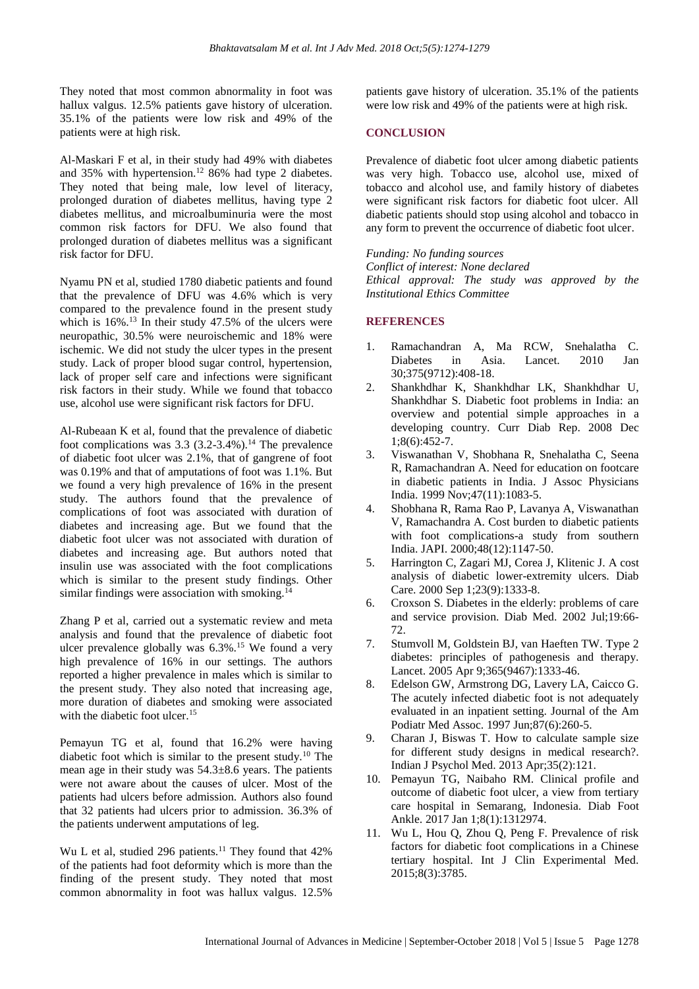They noted that most common abnormality in foot was hallux valgus. 12.5% patients gave history of ulceration. 35.1% of the patients were low risk and 49% of the patients were at high risk.

Al-Maskari F et al, in their study had 49% with diabetes and 35% with hypertension.<sup>12</sup> 86% had type 2 diabetes. They noted that being male, low level of literacy, prolonged duration of diabetes mellitus, having type 2 diabetes mellitus, and microalbuminuria were the most common risk factors for DFU. We also found that prolonged duration of diabetes mellitus was a significant risk factor for DFU.

Nyamu PN et al, studied 1780 diabetic patients and found that the prevalence of DFU was 4.6% which is very compared to the prevalence found in the present study which is  $16\%$ .<sup>13</sup> In their study 47.5% of the ulcers were neuropathic, 30.5% were neuroischemic and 18% were ischemic. We did not study the ulcer types in the present study. Lack of proper blood sugar control, hypertension, lack of proper self care and infections were significant risk factors in their study. While we found that tobacco use, alcohol use were significant risk factors for DFU.

Al-Rubeaan K et al, found that the prevalence of diabetic foot complications was  $3.3$  ( $3.2$ - $3.4\%$ ).<sup>14</sup> The prevalence of diabetic foot ulcer was 2.1%, that of gangrene of foot was 0.19% and that of amputations of foot was 1.1%. But we found a very high prevalence of 16% in the present study. The authors found that the prevalence of complications of foot was associated with duration of diabetes and increasing age. But we found that the diabetic foot ulcer was not associated with duration of diabetes and increasing age. But authors noted that insulin use was associated with the foot complications which is similar to the present study findings. Other similar findings were association with smoking. $<sup>1</sup>$ </sup>

Zhang P et al, carried out a systematic review and meta analysis and found that the prevalence of diabetic foot ulcer prevalence globally was  $6.3\%$ .<sup>15</sup> We found a very high prevalence of 16% in our settings. The authors reported a higher prevalence in males which is similar to the present study. They also noted that increasing age, more duration of diabetes and smoking were associated with the diabetic foot ulcer.<sup>15</sup>

Pemayun TG et al, found that 16.2% were having diabetic foot which is similar to the present study.<sup>10</sup> The mean age in their study was 54.3±8.6 years. The patients were not aware about the causes of ulcer. Most of the patients had ulcers before admission. Authors also found that 32 patients had ulcers prior to admission. 36.3% of the patients underwent amputations of leg.

Wu L et al, studied 296 patients.<sup>11</sup> They found that 42% of the patients had foot deformity which is more than the finding of the present study. They noted that most common abnormality in foot was hallux valgus. 12.5%

patients gave history of ulceration. 35.1% of the patients were low risk and 49% of the patients were at high risk.

#### **CONCLUSION**

Prevalence of diabetic foot ulcer among diabetic patients was very high. Tobacco use, alcohol use, mixed of tobacco and alcohol use, and family history of diabetes were significant risk factors for diabetic foot ulcer. All diabetic patients should stop using alcohol and tobacco in any form to prevent the occurrence of diabetic foot ulcer.

*Funding: No funding sources Conflict of interest: None declared Ethical approval: The study was approved by the Institutional Ethics Committee*

## **REFERENCES**

- 1. Ramachandran A, Ma RCW, Snehalatha C. Diabetes in Asia. Lancet. 2010 Jan 30;375(9712):408-18.
- 2. Shankhdhar K, Shankhdhar LK, Shankhdhar U, Shankhdhar S. Diabetic foot problems in India: an overview and potential simple approaches in a developing country. Curr Diab Rep. 2008 Dec 1;8(6):452-7.
- 3. Viswanathan V, Shobhana R, Snehalatha C, Seena R, Ramachandran A. Need for education on footcare in diabetic patients in India. J Assoc Physicians India. 1999 Nov;47(11):1083-5.
- 4. Shobhana R, Rama Rao P, Lavanya A, Viswanathan V, Ramachandra A. Cost burden to diabetic patients with foot complications-a study from southern India. JAPI. 2000;48(12):1147-50.
- 5. Harrington C, Zagari MJ, Corea J, Klitenic J. A cost analysis of diabetic lower-extremity ulcers. Diab Care. 2000 Sep 1;23(9):1333-8.
- 6. Croxson S. Diabetes in the elderly: problems of care and service provision. Diab Med. 2002 Jul;19:66- 72.
- 7. Stumvoll M, Goldstein BJ, van Haeften TW. Type 2 diabetes: principles of pathogenesis and therapy. Lancet. 2005 Apr 9;365(9467):1333-46.
- 8. Edelson GW, Armstrong DG, Lavery LA, Caicco G. The acutely infected diabetic foot is not adequately evaluated in an inpatient setting. Journal of the Am Podiatr Med Assoc. 1997 Jun;87(6):260-5.
- 9. Charan J, Biswas T. How to calculate sample size for different study designs in medical research?. Indian J Psychol Med. 2013 Apr;35(2):121.
- 10. Pemayun TG, Naibaho RM. Clinical profile and outcome of diabetic foot ulcer, a view from tertiary care hospital in Semarang, Indonesia. Diab Foot Ankle. 2017 Jan 1;8(1):1312974.
- 11. Wu L, Hou Q, Zhou Q, Peng F. Prevalence of risk factors for diabetic foot complications in a Chinese tertiary hospital. Int J Clin Experimental Med. 2015;8(3):3785.